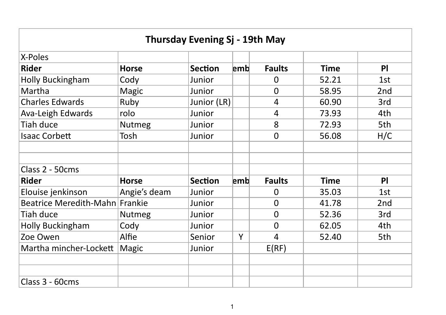| <b>Thursday Evening Sj - 19th May</b> |               |                |     |                |             |     |  |
|---------------------------------------|---------------|----------------|-----|----------------|-------------|-----|--|
| X-Poles                               |               |                |     |                |             |     |  |
| <b>Rider</b>                          | <b>Horse</b>  | <b>Section</b> | emb | <b>Faults</b>  | <b>Time</b> | P   |  |
| Holly Buckingham                      | Cody          | Junior         |     | $\overline{0}$ | 52.21       | 1st |  |
| Martha                                | Magic         | Junior         |     | $\Omega$       | 58.95       | 2nd |  |
| <b>Charles Edwards</b>                | Ruby          | Junior (LR)    |     | 4              | 60.90       | 3rd |  |
| Ava-Leigh Edwards                     | rolo          | Junior         |     | 4              | 73.93       | 4th |  |
| Tiah duce                             | <b>Nutmeg</b> | Junior         |     | 8              | 72.93       | 5th |  |
| <b>Isaac Corbett</b>                  | Tosh          | Junior         |     | $\Omega$       | 56.08       | H/C |  |
|                                       |               |                |     |                |             |     |  |
|                                       |               |                |     |                |             |     |  |
| Class 2 - 50cms                       |               |                |     |                |             |     |  |
| <b>Rider</b>                          | <b>Horse</b>  | <b>Section</b> | emb | <b>Faults</b>  | <b>Time</b> | PI  |  |
| Elouise jenkinson                     | Angie's deam  | Junior         |     | $\Omega$       | 35.03       | 1st |  |
| Beatrice Meredith-Mahn Frankie        |               | Junior         |     | $\Omega$       | 41.78       | 2nd |  |
| Tiah duce                             | <b>Nutmeg</b> | Junior         |     | $\Omega$       | 52.36       | 3rd |  |
| Holly Buckingham                      | Cody          | Junior         |     | $\Omega$       | 62.05       | 4th |  |
| Zoe Owen                              | Alfie         | Senior         | Y   | 4              | 52.40       | 5th |  |
| Martha mincher-Lockett                | Magic         | Junior         |     | E(RF)          |             |     |  |
|                                       |               |                |     |                |             |     |  |
|                                       |               |                |     |                |             |     |  |
| Class 3 - 60cms                       |               |                |     |                |             |     |  |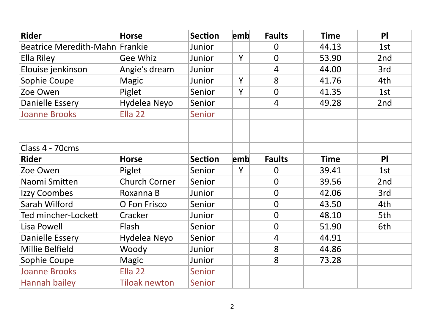| <b>Rider</b>                   | <b>Horse</b>         | <b>Section</b> | emb | <b>Faults</b>  | <b>Time</b> | P               |
|--------------------------------|----------------------|----------------|-----|----------------|-------------|-----------------|
| Beatrice Meredith-Mahn Frankie |                      | Junior         |     | $\Omega$       | 44.13       | 1st             |
| Ella Riley                     | Gee Whiz             | Junior         | Y   | $\Omega$       | 53.90       | 2 <sub>nd</sub> |
| Elouise jenkinson              | Angie's dream        | Junior         |     | $\overline{4}$ | 44.00       | 3rd             |
| Sophie Coupe                   | Magic                | Junior         | Y   | 8              | 41.76       | 4th             |
| Zoe Owen                       | Piglet               | Senior         | Y   | $\mathbf 0$    | 41.35       | 1st             |
| Danielle Essery                | Hydelea Neyo         | Senior         |     | $\overline{4}$ | 49.28       | 2nd             |
| <b>Joanne Brooks</b>           | Ella 22              | Senior         |     |                |             |                 |
|                                |                      |                |     |                |             |                 |
|                                |                      |                |     |                |             |                 |
| Class 4 - 70cms                |                      |                |     |                |             |                 |
| <b>Rider</b>                   | <b>Horse</b>         | <b>Section</b> | emb | <b>Faults</b>  | <b>Time</b> | P <sub>1</sub>  |
| Zoe Owen                       | Piglet               | Senior         | Y   | $\Omega$       | 39.41       | 1st             |
| Naomi Smitten                  | <b>Church Corner</b> | Senior         |     | $\Omega$       | 39.56       | 2nd             |
| Izzy Coombes                   | Roxanna B            | Junior         |     | $\overline{0}$ | 42.06       | 3rd             |
| Sarah Wilford                  | O Fon Frisco         | Senior         |     | $\overline{0}$ | 43.50       | 4th             |
| Ted mincher-Lockett            | Cracker              | Junior         |     | $\overline{0}$ | 48.10       | 5th             |
| Lisa Powell                    | Flash                | Senior         |     | $\overline{0}$ | 51.90       | 6th             |
| Danielle Essery                | Hydelea Neyo         | Senior         |     | 4              | 44.91       |                 |
| Millie Belfield                | Woody                | Junior         |     | 8              | 44.86       |                 |
| Sophie Coupe                   | Magic                | Junior         |     | 8              | 73.28       |                 |
| <b>Joanne Brooks</b>           | Ella 22              | Senior         |     |                |             |                 |
| Hannah bailey                  | <b>Tiloak newton</b> | Senior         |     |                |             |                 |